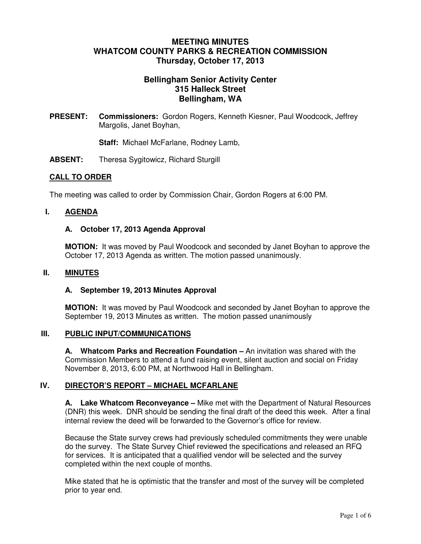# **MEETING MINUTES WHATCOM COUNTY PARKS & RECREATION COMMISSION Thursday, October 17, 2013**

# **Bellingham Senior Activity Center 315 Halleck Street Bellingham, WA**

**PRESENT: Commissioners:** Gordon Rogers, Kenneth Kiesner, Paul Woodcock, Jeffrey Margolis, Janet Boyhan,

**Staff:** Michael McFarlane, Rodney Lamb,

**ABSENT:** Theresa Sygitowicz, Richard Sturgill

### **CALL TO ORDER**

The meeting was called to order by Commission Chair, Gordon Rogers at 6:00 PM.

### **I. AGENDA**

### **A. October 17, 2013 Agenda Approval**

**MOTION:** It was moved by Paul Woodcock and seconded by Janet Boyhan to approve the October 17, 2013 Agenda as written. The motion passed unanimously.

### **II. MINUTES**

#### **A. September 19, 2013 Minutes Approval**

**MOTION:** It was moved by Paul Woodcock and seconded by Janet Boyhan to approve the September 19, 2013 Minutes as written. The motion passed unanimously

### **III. PUBLIC INPUT/COMMUNICATIONS**

**A. Whatcom Parks and Recreation Foundation –** An invitation was shared with the Commission Members to attend a fund raising event, silent auction and social on Friday November 8, 2013, 6:00 PM, at Northwood Hall in Bellingham.

# **IV. DIRECTOR'S REPORT – MICHAEL MCFARLANE**

**A. Lake Whatcom Reconveyance –** Mike met with the Department of Natural Resources (DNR) this week. DNR should be sending the final draft of the deed this week. After a final internal review the deed will be forwarded to the Governor's office for review.

Because the State survey crews had previously scheduled commitments they were unable do the survey. The State Survey Chief reviewed the specifications and released an RFQ for services. It is anticipated that a qualified vendor will be selected and the survey completed within the next couple of months.

Mike stated that he is optimistic that the transfer and most of the survey will be completed prior to year end.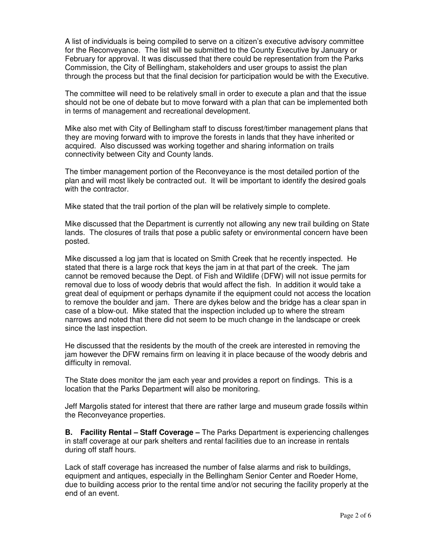A list of individuals is being compiled to serve on a citizen's executive advisory committee for the Reconveyance. The list will be submitted to the County Executive by January or February for approval. It was discussed that there could be representation from the Parks Commission, the City of Bellingham, stakeholders and user groups to assist the plan through the process but that the final decision for participation would be with the Executive.

The committee will need to be relatively small in order to execute a plan and that the issue should not be one of debate but to move forward with a plan that can be implemented both in terms of management and recreational development.

Mike also met with City of Bellingham staff to discuss forest/timber management plans that they are moving forward with to improve the forests in lands that they have inherited or acquired. Also discussed was working together and sharing information on trails connectivity between City and County lands.

The timber management portion of the Reconveyance is the most detailed portion of the plan and will most likely be contracted out. It will be important to identify the desired goals with the contractor.

Mike stated that the trail portion of the plan will be relatively simple to complete.

Mike discussed that the Department is currently not allowing any new trail building on State lands. The closures of trails that pose a public safety or environmental concern have been posted.

Mike discussed a log jam that is located on Smith Creek that he recently inspected. He stated that there is a large rock that keys the jam in at that part of the creek. The jam cannot be removed because the Dept. of Fish and Wildlife (DFW) will not issue permits for removal due to loss of woody debris that would affect the fish. In addition it would take a great deal of equipment or perhaps dynamite if the equipment could not access the location to remove the boulder and jam. There are dykes below and the bridge has a clear span in case of a blow-out. Mike stated that the inspection included up to where the stream narrows and noted that there did not seem to be much change in the landscape or creek since the last inspection.

He discussed that the residents by the mouth of the creek are interested in removing the jam however the DFW remains firm on leaving it in place because of the woody debris and difficulty in removal.

The State does monitor the jam each year and provides a report on findings. This is a location that the Parks Department will also be monitoring.

Jeff Margolis stated for interest that there are rather large and museum grade fossils within the Reconveyance properties.

**B. Facility Rental – Staff Coverage –** The Parks Department is experiencing challenges in staff coverage at our park shelters and rental facilities due to an increase in rentals during off staff hours.

Lack of staff coverage has increased the number of false alarms and risk to buildings, equipment and antiques, especially in the Bellingham Senior Center and Roeder Home, due to building access prior to the rental time and/or not securing the facility properly at the end of an event.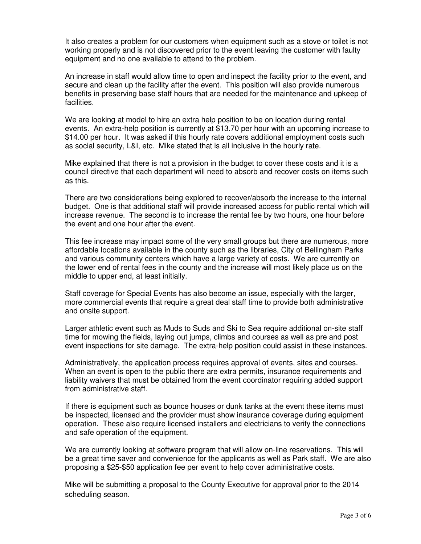It also creates a problem for our customers when equipment such as a stove or toilet is not working properly and is not discovered prior to the event leaving the customer with faulty equipment and no one available to attend to the problem.

An increase in staff would allow time to open and inspect the facility prior to the event, and secure and clean up the facility after the event. This position will also provide numerous benefits in preserving base staff hours that are needed for the maintenance and upkeep of facilities.

We are looking at model to hire an extra help position to be on location during rental events. An extra-help position is currently at \$13.70 per hour with an upcoming increase to \$14.00 per hour. It was asked if this hourly rate covers additional employment costs such as social security, L&I, etc. Mike stated that is all inclusive in the hourly rate.

Mike explained that there is not a provision in the budget to cover these costs and it is a council directive that each department will need to absorb and recover costs on items such as this.

There are two considerations being explored to recover/absorb the increase to the internal budget. One is that additional staff will provide increased access for public rental which will increase revenue. The second is to increase the rental fee by two hours, one hour before the event and one hour after the event.

This fee increase may impact some of the very small groups but there are numerous, more affordable locations available in the county such as the libraries, City of Bellingham Parks and various community centers which have a large variety of costs. We are currently on the lower end of rental fees in the county and the increase will most likely place us on the middle to upper end, at least initially.

Staff coverage for Special Events has also become an issue, especially with the larger, more commercial events that require a great deal staff time to provide both administrative and onsite support.

Larger athletic event such as Muds to Suds and Ski to Sea require additional on-site staff time for mowing the fields, laying out jumps, climbs and courses as well as pre and post event inspections for site damage. The extra-help position could assist in these instances.

Administratively, the application process requires approval of events, sites and courses. When an event is open to the public there are extra permits, insurance requirements and liability waivers that must be obtained from the event coordinator requiring added support from administrative staff.

If there is equipment such as bounce houses or dunk tanks at the event these items must be inspected, licensed and the provider must show insurance coverage during equipment operation. These also require licensed installers and electricians to verify the connections and safe operation of the equipment.

We are currently looking at software program that will allow on-line reservations. This will be a great time saver and convenience for the applicants as well as Park staff. We are also proposing a \$25-\$50 application fee per event to help cover administrative costs.

Mike will be submitting a proposal to the County Executive for approval prior to the 2014 scheduling season.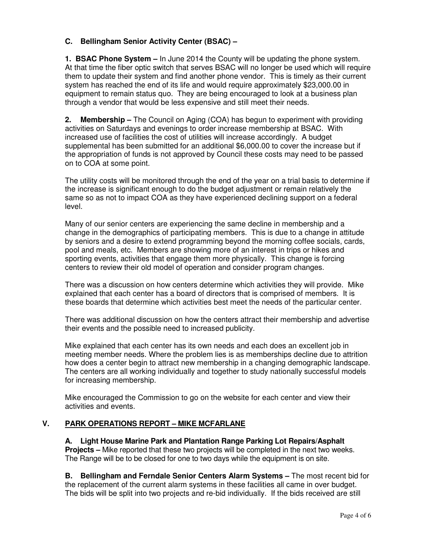# **C. Bellingham Senior Activity Center (BSAC) –**

**1. BSAC Phone System –** In June 2014 the County will be updating the phone system. At that time the fiber optic switch that serves BSAC will no longer be used which will require them to update their system and find another phone vendor. This is timely as their current system has reached the end of its life and would require approximately \$23,000.00 in equipment to remain status quo. They are being encouraged to look at a business plan through a vendor that would be less expensive and still meet their needs.

**2. Membership –** The Council on Aging (COA) has begun to experiment with providing activities on Saturdays and evenings to order increase membership at BSAC. With increased use of facilities the cost of utilities will increase accordingly. A budget supplemental has been submitted for an additional \$6,000.00 to cover the increase but if the appropriation of funds is not approved by Council these costs may need to be passed on to COA at some point.

The utility costs will be monitored through the end of the year on a trial basis to determine if the increase is significant enough to do the budget adjustment or remain relatively the same so as not to impact COA as they have experienced declining support on a federal level.

Many of our senior centers are experiencing the same decline in membership and a change in the demographics of participating members. This is due to a change in attitude by seniors and a desire to extend programming beyond the morning coffee socials, cards, pool and meals, etc. Members are showing more of an interest in trips or hikes and sporting events, activities that engage them more physically. This change is forcing centers to review their old model of operation and consider program changes.

There was a discussion on how centers determine which activities they will provide. Mike explained that each center has a board of directors that is comprised of members. It is these boards that determine which activities best meet the needs of the particular center.

There was additional discussion on how the centers attract their membership and advertise their events and the possible need to increased publicity.

Mike explained that each center has its own needs and each does an excellent job in meeting member needs. Where the problem lies is as memberships decline due to attrition how does a center begin to attract new membership in a changing demographic landscape. The centers are all working individually and together to study nationally successful models for increasing membership.

Mike encouraged the Commission to go on the website for each center and view their activities and events.

# **V. PARK OPERATIONS REPORT – MIKE MCFARLANE**

**A. Light House Marine Park and Plantation Range Parking Lot Repairs/Asphalt Projects –** Mike reported that these two projects will be completed in the next two weeks. The Range will be to be closed for one to two days while the equipment is on site.

**B. Bellingham and Ferndale Senior Centers Alarm Systems –** The most recent bid for the replacement of the current alarm systems in these facilities all came in over budget. The bids will be split into two projects and re-bid individually. If the bids received are still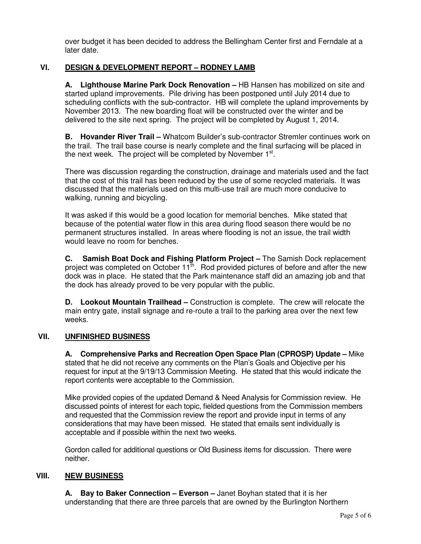over budget it has been decided to address the Bellingham Center first and Ferndale at a later date.

# **VI. DESIGN & DEVELOPMENT REPORT – RODNEY LAMB**

**A. Lighthouse Marine Park Dock Renovation –** HB Hansen has mobilized on site and started upland improvements. Pile driving has been postponed until July 2014 due to scheduling conflicts with the sub-contractor. HB will complete the upland improvements by November 2013. The new boarding float will be constructed over the winter and be delivered to the site next spring. The project will be completed by August 1, 2014.

**B. Hovander River Trail –** Whatcom Builder's sub-contractor Stremler continues work on the trail. The trail base course is nearly complete and the final surfacing will be placed in the next week. The project will be completed by November 1<sup>st</sup>.

There was discussion regarding the construction, drainage and materials used and the fact that the cost of this trail has been reduced by the use of some recycled materials. It was discussed that the materials used on this multi-use trail are much more conducive to walking, running and bicycling.

It was asked if this would be a good location for memorial benches. Mike stated that because of the potential water flow in this area during flood season there would be no permanent structures installed. In areas where flooding is not an issue, the trail width would leave no room for benches.

**C. Samish Boat Dock and Fishing Platform Project –** The Samish Dock replacement project was completed on October 11<sup>th</sup>. Rod provided pictures of before and after the new dock was in place. He stated that the Park maintenance staff did an amazing job and that the dock has already proved to be very popular with the public.

**D. Lookout Mountain Trailhead –** Construction is complete. The crew will relocate the main entry gate, install signage and re-route a trail to the parking area over the next few weeks.

### **VII. UNFINISHED BUSINESS**

**A. Comprehensive Parks and Recreation Open Space Plan (CPROSP) Update –** Mike stated that he did not receive any comments on the Plan's Goals and Objective per his request for input at the 9/19/13 Commission Meeting. He stated that this would indicate the report contents were acceptable to the Commission.

Mike provided copies of the updated Demand & Need Analysis for Commission review. He discussed points of interest for each topic, fielded questions from the Commission members and requested that the Commission review the report and provide input in terms of any considerations that may have been missed. He stated that emails sent individually is acceptable and if possible within the next two weeks.

Gordon called for additional questions or Old Business items for discussion. There were neither.

### **VIII. NEW BUSINESS**

 **A. Bay to Baker Connection – Everson –** Janet Boyhan stated that it is her understanding that there are three parcels that are owned by the Burlington Northern